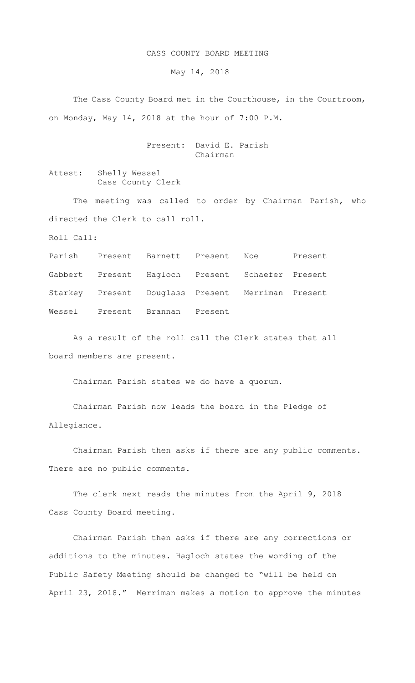## CASS COUNTY BOARD MEETING

May 14, 2018

 The Cass County Board met in the Courthouse, in the Courtroom, on Monday, May 14, 2018 at the hour of 7:00 P.M.

## Present: David E. Parish Chairman

Attest: Shelly Wessel Cass County Clerk

The meeting was called to order by Chairman Parish, who directed the Clerk to call roll.

Roll Call:

Parish Present Barnett Present Noe Present Gabbert Present Hagloch Present Schaefer Present Starkey Present Douglass Present Merriman Present Wessel Present Brannan Present

As a result of the roll call the Clerk states that all board members are present.

Chairman Parish states we do have a quorum.

Chairman Parish now leads the board in the Pledge of Allegiance.

Chairman Parish then asks if there are any public comments. There are no public comments.

The clerk next reads the minutes from the April 9, 2018 Cass County Board meeting.

Chairman Parish then asks if there are any corrections or additions to the minutes. Hagloch states the wording of the Public Safety Meeting should be changed to "will be held on April 23, 2018." Merriman makes a motion to approve the minutes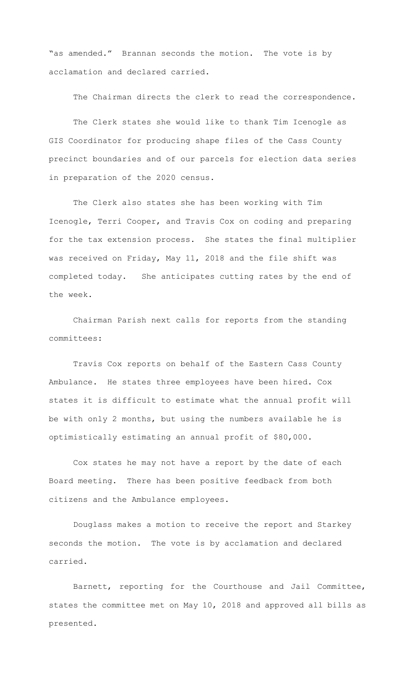"as amended." Brannan seconds the motion. The vote is by acclamation and declared carried.

The Chairman directs the clerk to read the correspondence.

The Clerk states she would like to thank Tim Icenogle as GIS Coordinator for producing shape files of the Cass County precinct boundaries and of our parcels for election data series in preparation of the 2020 census.

The Clerk also states she has been working with Tim Icenogle, Terri Cooper, and Travis Cox on coding and preparing for the tax extension process. She states the final multiplier was received on Friday, May 11, 2018 and the file shift was completed today. She anticipates cutting rates by the end of the week.

Chairman Parish next calls for reports from the standing committees:

Travis Cox reports on behalf of the Eastern Cass County Ambulance. He states three employees have been hired. Cox states it is difficult to estimate what the annual profit will be with only 2 months, but using the numbers available he is optimistically estimating an annual profit of \$80,000.

Cox states he may not have a report by the date of each Board meeting. There has been positive feedback from both citizens and the Ambulance employees.

Douglass makes a motion to receive the report and Starkey seconds the motion. The vote is by acclamation and declared carried.

Barnett, reporting for the Courthouse and Jail Committee, states the committee met on May 10, 2018 and approved all bills as presented.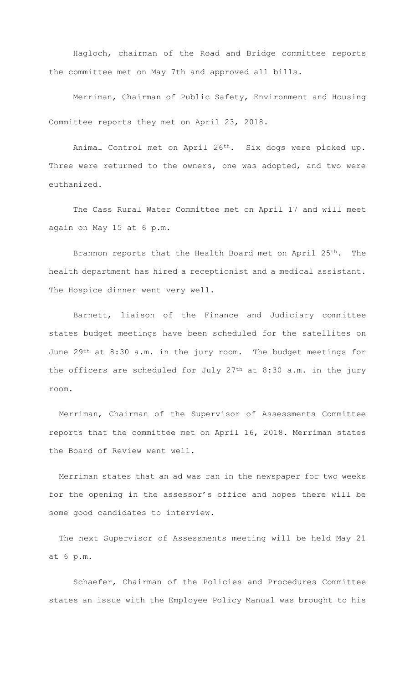Hagloch, chairman of the Road and Bridge committee reports the committee met on May 7th and approved all bills.

Merriman, Chairman of Public Safety, Environment and Housing Committee reports they met on April 23, 2018.

 Animal Control met on April 26th. Six dogs were picked up. Three were returned to the owners, one was adopted, and two were euthanized.

 The Cass Rural Water Committee met on April 17 and will meet again on May 15 at 6 p.m.

Brannon reports that the Health Board met on April 25<sup>th</sup>. The health department has hired a receptionist and a medical assistant. The Hospice dinner went very well.

Barnett, liaison of the Finance and Judiciary committee states budget meetings have been scheduled for the satellites on June 29th at 8:30 a.m. in the jury room. The budget meetings for the officers are scheduled for July  $27<sup>th</sup>$  at  $8:30$  a.m. in the jury room.

Merriman, Chairman of the Supervisor of Assessments Committee reports that the committee met on April 16, 2018. Merriman states the Board of Review went well.

Merriman states that an ad was ran in the newspaper for two weeks for the opening in the assessor's office and hopes there will be some good candidates to interview.

The next Supervisor of Assessments meeting will be held May 21 at 6 p.m.

Schaefer, Chairman of the Policies and Procedures Committee states an issue with the Employee Policy Manual was brought to his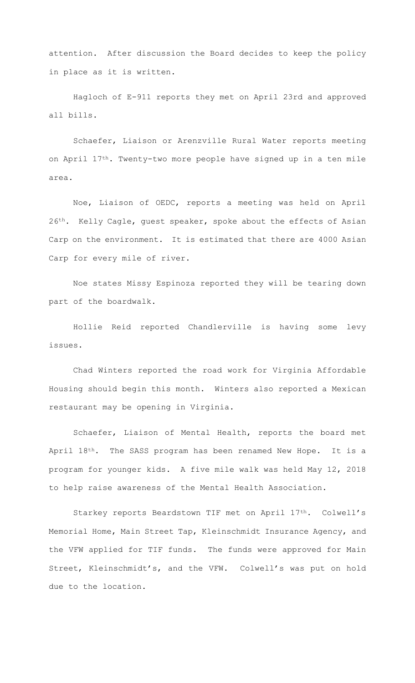attention. After discussion the Board decides to keep the policy in place as it is written.

Hagloch of E-911 reports they met on April 23rd and approved all bills.

Schaefer, Liaison or Arenzville Rural Water reports meeting on April 17th. Twenty-two more people have signed up in a ten mile area.

Noe, Liaison of OEDC, reports a meeting was held on April 26<sup>th</sup>. Kelly Cagle, guest speaker, spoke about the effects of Asian Carp on the environment. It is estimated that there are 4000 Asian Carp for every mile of river.

Noe states Missy Espinoza reported they will be tearing down part of the boardwalk.

Hollie Reid reported Chandlerville is having some levy issues.

Chad Winters reported the road work for Virginia Affordable Housing should begin this month. Winters also reported a Mexican restaurant may be opening in Virginia.

Schaefer, Liaison of Mental Health, reports the board met April 18<sup>th</sup>. The SASS program has been renamed New Hope. It is a program for younger kids. A five mile walk was held May 12, 2018 to help raise awareness of the Mental Health Association.

Starkey reports Beardstown TIF met on April 17th. Colwell's Memorial Home, Main Street Tap, Kleinschmidt Insurance Agency, and the VFW applied for TIF funds. The funds were approved for Main Street, Kleinschmidt's, and the VFW. Colwell's was put on hold due to the location.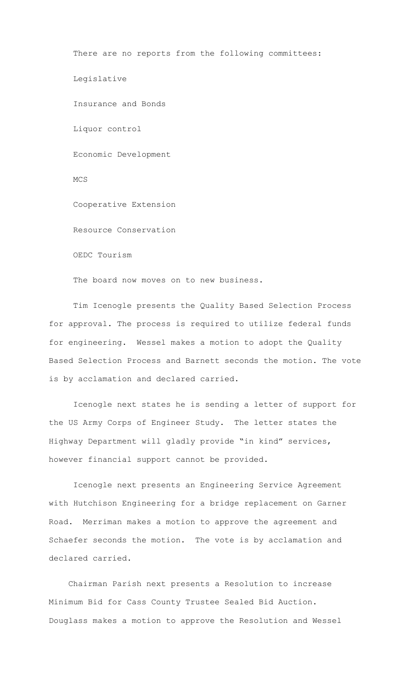There are no reports from the following committees: Legislative Insurance and Bonds Liquor control Economic Development MCS Cooperative Extension Resource Conservation OEDC Tourism The board now moves on to new business.

Tim Icenogle presents the Quality Based Selection Process for approval. The process is required to utilize federal funds for engineering. Wessel makes a motion to adopt the Quality Based Selection Process and Barnett seconds the motion. The vote is by acclamation and declared carried.

Icenogle next states he is sending a letter of support for the US Army Corps of Engineer Study. The letter states the Highway Department will gladly provide "in kind" services, however financial support cannot be provided.

 Icenogle next presents an Engineering Service Agreement with Hutchison Engineering for a bridge replacement on Garner Road. Merriman makes a motion to approve the agreement and Schaefer seconds the motion. The vote is by acclamation and declared carried.

 Chairman Parish next presents a Resolution to increase Minimum Bid for Cass County Trustee Sealed Bid Auction. Douglass makes a motion to approve the Resolution and Wessel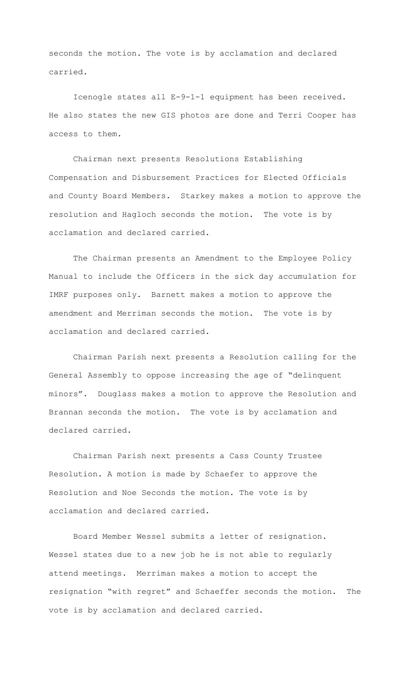seconds the motion. The vote is by acclamation and declared carried.

 Icenogle states all E-9-1-1 equipment has been received. He also states the new GIS photos are done and Terri Cooper has access to them.

Chairman next presents Resolutions Establishing Compensation and Disbursement Practices for Elected Officials and County Board Members. Starkey makes a motion to approve the resolution and Hagloch seconds the motion. The vote is by acclamation and declared carried.

The Chairman presents an Amendment to the Employee Policy Manual to include the Officers in the sick day accumulation for IMRF purposes only. Barnett makes a motion to approve the amendment and Merriman seconds the motion. The vote is by acclamation and declared carried.

 Chairman Parish next presents a Resolution calling for the General Assembly to oppose increasing the age of "delinquent minors". Douglass makes a motion to approve the Resolution and Brannan seconds the motion. The vote is by acclamation and declared carried.

 Chairman Parish next presents a Cass County Trustee Resolution. A motion is made by Schaefer to approve the Resolution and Noe Seconds the motion. The vote is by acclamation and declared carried.

 Board Member Wessel submits a letter of resignation. Wessel states due to a new job he is not able to regularly attend meetings. Merriman makes a motion to accept the resignation "with regret" and Schaeffer seconds the motion. The vote is by acclamation and declared carried.